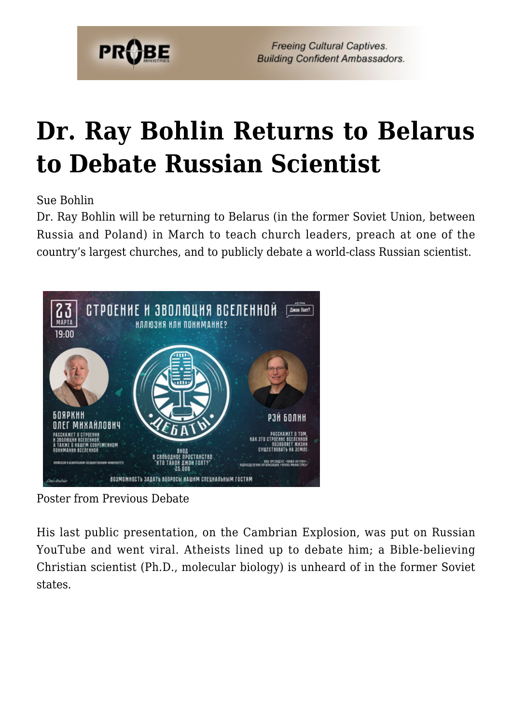

**Freeing Cultural Captives. Building Confident Ambassadors.** 

## **[Dr. Ray Bohlin Returns to Belarus](https://probe.org/dr-ray-bohlin-returns-to-belarus-to-debate-russian-scientist/) [to Debate Russian Scientist](https://probe.org/dr-ray-bohlin-returns-to-belarus-to-debate-russian-scientist/)**

Sue Bohlin

Dr. Ray Bohlin will be returning to Belarus (in the former Soviet Union, between Russia and Poland) in March to teach church leaders, preach at one of the country's largest churches, and to publicly debate a world-class Russian scientist.



Poster from Previous Debate

His last public presentation, on the Cambrian Explosion, was put on Russian YouTube and went viral. Atheists lined up to debate him; a Bible-believing Christian scientist (Ph.D., molecular biology) is unheard of in the former Soviet states.